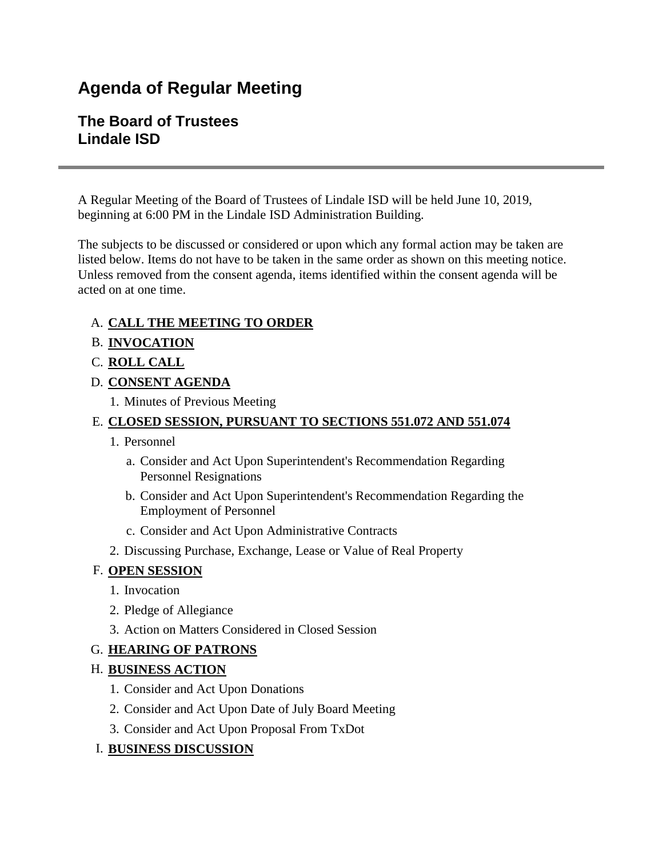# **Agenda of Regular Meeting**

# **The Board of Trustees Lindale ISD**

A Regular Meeting of the Board of Trustees of Lindale ISD will be held June 10, 2019, beginning at 6:00 PM in the Lindale ISD Administration Building.

The subjects to be discussed or considered or upon which any formal action may be taken are listed below. Items do not have to be taken in the same order as shown on this meeting notice. Unless removed from the consent agenda, items identified within the consent agenda will be acted on at one time.

#### A. **CALL THE MEETING TO ORDER**

- B. **INVOCATION**
- C. **ROLL CALL**
- D. **CONSENT AGENDA**
	- 1. Minutes of Previous Meeting

### E. **CLOSED SESSION, PURSUANT TO SECTIONS 551.072 AND 551.074**

- 1. Personnel
	- a. Consider and Act Upon Superintendent's Recommendation Regarding Personnel Resignations
	- b. Consider and Act Upon Superintendent's Recommendation Regarding the Employment of Personnel
	- c. Consider and Act Upon Administrative Contracts
- 2. Discussing Purchase, Exchange, Lease or Value of Real Property

#### F. **OPEN SESSION**

- 1. Invocation
- 2. Pledge of Allegiance
- 3. Action on Matters Considered in Closed Session

#### G. **HEARING OF PATRONS**

# H. **BUSINESS ACTION**

- 1. Consider and Act Upon Donations
- 2. Consider and Act Upon Date of July Board Meeting
- 3. Consider and Act Upon Proposal From TxDot

# I. **BUSINESS DISCUSSION**